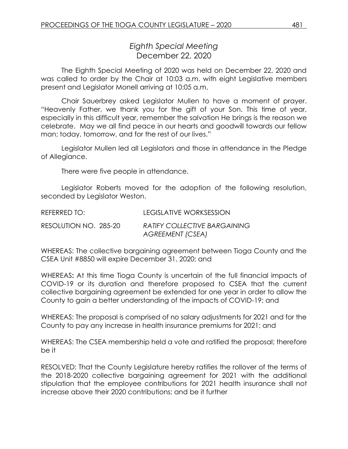## *Eighth Special Meeting* December 22, 2020

The Eighth Special Meeting of 2020 was held on December 22, 2020 and was called to order by the Chair at 10:03 a.m. with eight Legislative members present and Legislator Monell arriving at 10:05 a.m.

Chair Sauerbrey asked Legislator Mullen to have a moment of prayer. "Heavenly Father, we thank you for the gift of your Son. This time of year, especially in this difficult year, remember the salvation He brings is the reason we celebrate. May we all find peace in our hearts and goodwill towards our fellow man; today, tomorrow, and for the rest of our lives."

Legislator Mullen led all Legislators and those in attendance in the Pledge of Allegiance.

There were five people in attendance.

Legislator Roberts moved for the adoption of the following resolution, seconded by Legislator Weston.

REFERRED TO: LEGISLATIVE WORKSESSION RESOLUTION NO. 285-20 *RATIFY COLLECTIVE BARGAINING AGREEMENT (CSEA)*

WHEREAS: The collective bargaining agreement between Tioga County and the CSEA Unit #8850 will expire December 31, 2020; and

WHEREAS**:** At this time Tioga County is uncertain of the full financial impacts of COVID-19 or its duration and therefore proposed to CSEA that the current collective bargaining agreement be extended for one year in order to allow the County to gain a better understanding of the impacts of COVID-19; and

WHEREAS: The proposal is comprised of no salary adjustments for 2021 and for the County to pay any increase in health insurance premiums for 2021; and

WHEREAS: The CSEA membership held a vote and ratified the proposal; therefore be it

RESOLVED: That the County Legislature hereby ratifies the rollover of the terms of the 2018-2020 collective bargaining agreement for 2021 with the additional stipulation that the employee contributions for 2021 health insurance shall not increase above their 2020 contributions; and be it further